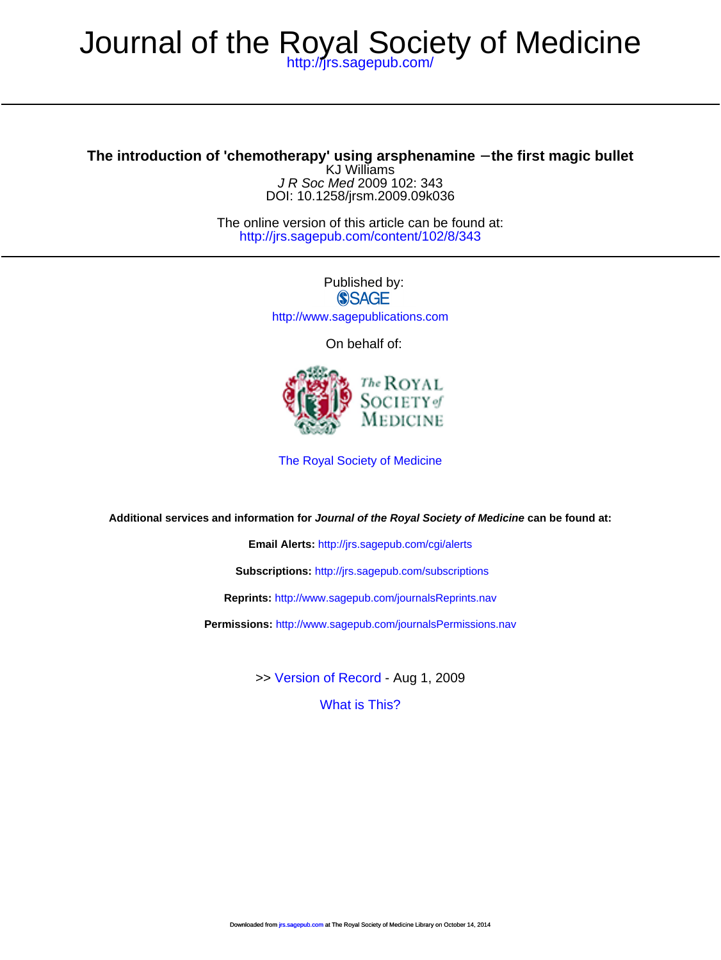## <http://jrs.sagepub.com/> Journal of the Royal Society of Medicine

DOI: 10.1258/jrsm.2009.09k036 J R Soc Med 2009 102: 343 KJ Williams **The introduction of 'chemotherapy' using arsphenamine** − **the first magic bullet**

> <http://jrs.sagepub.com/content/102/8/343> The online version of this article can be found at:

> > Published by:<br>
> > SAGE <http://www.sagepublications.com>

On behalf of:



[The Royal Society of Medicine](http://www.rsm.ac.uk/)

**Additional services and information for Journal of the Royal Society of Medicine can be found at:**

**Email Alerts:** <http://jrs.sagepub.com/cgi/alerts>

**Subscriptions:** <http://jrs.sagepub.com/subscriptions>

**Reprints:** <http://www.sagepub.com/journalsReprints.nav>

**Permissions:** <http://www.sagepub.com/journalsPermissions.nav>

>> [Version of Record -](http://jrs.sagepub.com/content/102/8/343.full.pdf) Aug 1, 2009

[What is This?](http://online.sagepub.com/site/sphelp/vorhelp.xhtml)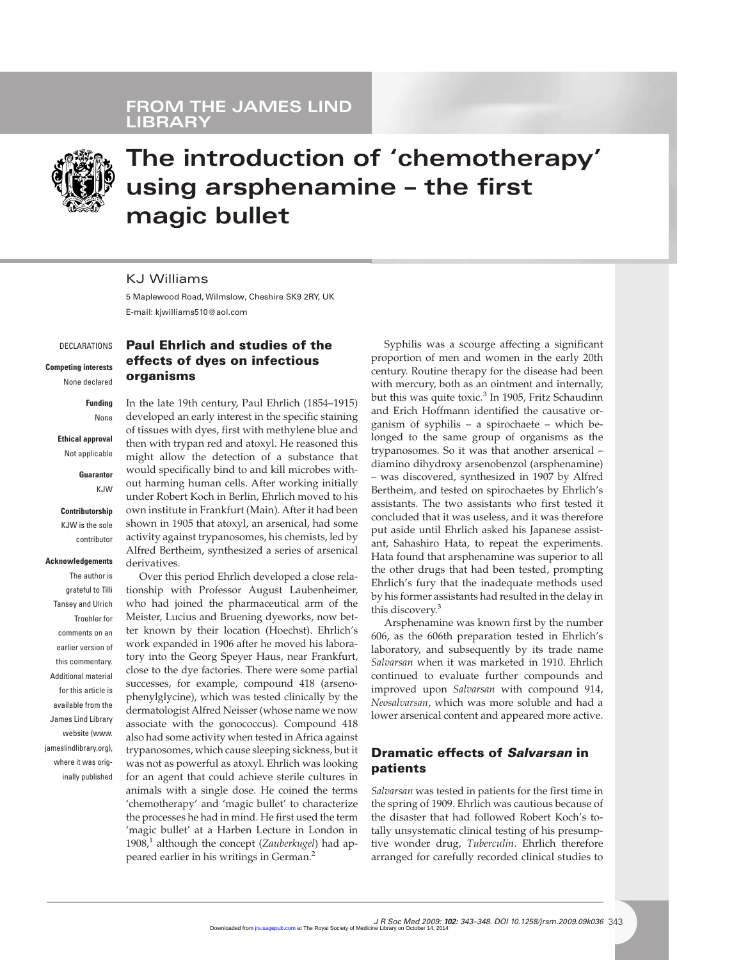

# **The introduction of 'chemotherapy' using arsphenamine – the first magic bullet**

#### KJ Williams

5 Maplewood Road, Wilmslow, Cheshire SK9 2RY, UK E-mail: kjwilliams510@aol.com

DECLARATIONS

**Competing interests** None declared

**Funding** None

**Ethical approval** Not applicable

> **Guarantor** KJW

**Contributorship** KJW is the sole contributor

**Acknowledgements** The author is grateful to Tilli Tansey and Ulrich Troehler for comments on an earlier version of this commentary. Additional material for this article is available from the James Lind Library

website (www. jameslindlibrary.org), where it was originally published

### **Paul Ehrlich and studies of the effects of dyes on infectious organisms**

In the late 19th century, Paul Ehrlich (1854–1915) developed an early interest in the specific staining of tissues with dyes, first with methylene blue and then with trypan red and atoxyl. He reasoned this might allow the detection of a substance that would specifically bind to and kill microbes without harming human cells. After working initially under Robert Koch in Berlin, Ehrlich moved to his own institute in Frankfurt (Main). After it had been shown in 1905 that atoxyl, an arsenical, had some activity against trypanosomes, his chemists, led by Alfred Bertheim, synthesized a series of arsenical derivatives.

Over this period Ehrlich developed a close relationship with Professor August Laubenheimer, who had joined the pharmaceutical arm of the Meister, Lucius and Bruening dyeworks, now better known by their location (Hoechst). Ehrlich's work expanded in 1906 after he moved his laboratory into the Georg Speyer Haus, near Frankfurt, close to the dye factories. There were some partial successes, for example, compound 418 (arsenophenylglycine), which was tested clinically by the dermatologist Alfred Neisser (whose name we now associate with the gonococcus). Compound 418 also had some activity when tested in Africa against trypanosomes, which cause sleeping sickness, but it was not as powerful as atoxyl. Ehrlich was looking for an agent that could achieve sterile cultures in animals with a single dose. He coined the terms 'chemotherapy' and 'magic bullet' to characterize the processes he had in mind. He first used the term 'magic bullet' at a Harben Lecture in London in 1908,<sup>1</sup> although the concept (*Zauberkugel*) had appeared earlier in his writings in German.2

Syphilis was a scourge affecting a significant proportion of men and women in the early 20th century. Routine therapy for the disease had been with mercury, both as an ointment and internally, but this was quite toxic.<sup>3</sup> In 1905, Fritz Schaudinn and Erich Hoffmann identified the causative organism of syphilis – a spirochaete – which belonged to the same group of organisms as the trypanosomes. So it was that another arsenical – diamino dihydroxy arsenobenzol (arsphenamine) – was discovered, synthesized in 1907 by Alfred Bertheim, and tested on spirochaetes by Ehrlich's assistants. The two assistants who first tested it concluded that it was useless, and it was therefore put aside until Ehrlich asked his Japanese assistant, Sahashiro Hata, to repeat the experiments. Hata found that arsphenamine was superior to all the other drugs that had been tested, prompting Ehrlich's fury that the inadequate methods used by his former assistants had resulted in the delay in this discovery.<sup>3</sup>

Arsphenamine was known first by the number 606, as the 606th preparation tested in Ehrlich's laboratory, and subsequently by its trade name *Salvarsan* when it was marketed in 1910. Ehrlich continued to evaluate further compounds and improved upon *Salvarsan* with compound 914, *Neosalvarsan*, which was more soluble and had a lower arsenical content and appeared more active.

## **Dramatic effects of** *Salvarsan* **in patients**

*Salvarsan* was tested in patients for the first time in the spring of 1909. Ehrlich was cautious because of the disaster that had followed Robert Koch's totally unsystematic clinical testing of his presumptive wonder drug, *Tuberculin*. Ehrlich therefore arranged for carefully recorded clinical studies to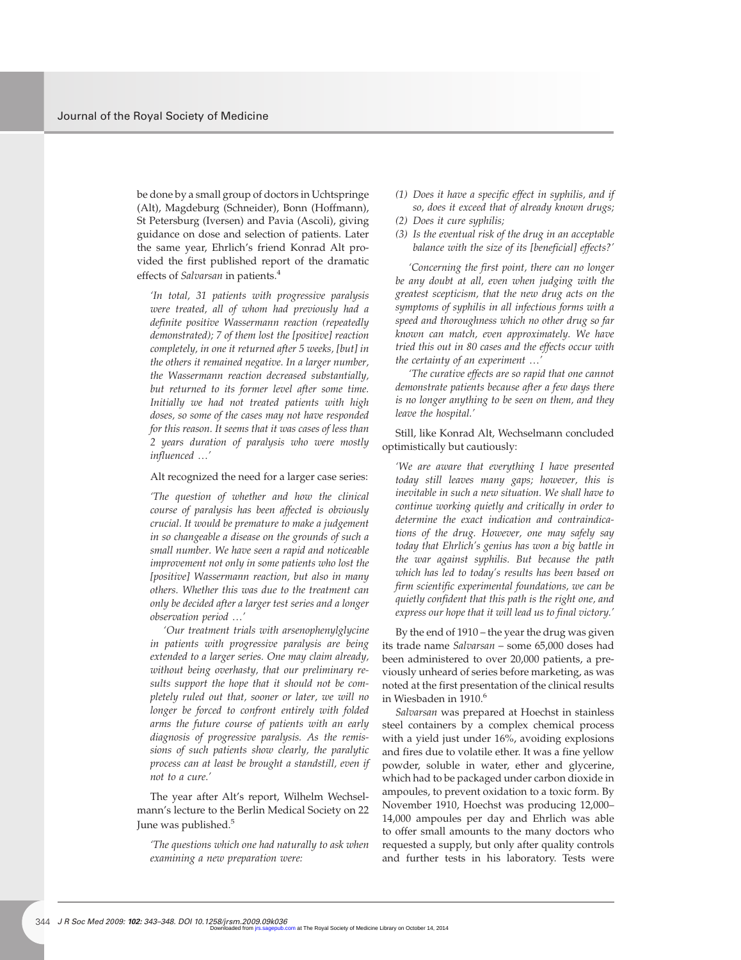be done by a small group of doctors in Uchtspringe (Alt), Magdeburg (Schneider), Bonn (Hoffmann), St Petersburg (Iversen) and Pavia (Ascoli), giving guidance on dose and selection of patients. Later the same year, Ehrlich's friend Konrad Alt provided the first published report of the dramatic effects of *Salvarsan* in patients.<sup>4</sup>

*'In total, 31 patients with progressive paralysis were treated, all of whom had previously had a definite positive Wassermann reaction (repeatedly demonstrated); 7 of them lost the [positive] reaction completely, in one it returned after 5 weeks, [but] in the others it remained negative. In a larger number, the Wassermann reaction decreased substantially, but returned to its former level after some time. Initially we had not treated patients with high doses, so some of the cases may not have responded for this reason. It seems that it was cases of less than 2 years duration of paralysis who were mostly influenced* .*'*

#### Alt recognized the need for a larger case series:

*'The question of whether and how the clinical course of paralysis has been affected is obviously crucial. It would be premature to make a judgement in so changeable a disease on the grounds of such a small number. We have seen a rapid and noticeable improvement not only in some patients who lost the [positive] Wassermann reaction, but also in many others. Whether this was due to the treatment can only be decided after a larger test series and a longer observation period* .*'*

*'Our treatment trials with arsenophenylglycine in patients with progressive paralysis are being extended to a larger series. One may claim already, without being overhasty, that our preliminary results support the hope that it should not be completely ruled out that, sooner or later, we will no longer be forced to confront entirely with folded arms the future course of patients with an early diagnosis of progressive paralysis. As the remissions of such patients show clearly, the paralytic process can at least be brought a standstill, even if not to a cure.'*

The year after Alt's report, Wilhelm Wechselmann's lecture to the Berlin Medical Society on 22 June was published.<sup>5</sup>

*'The questions which one had naturally to ask when examining a new preparation were:*

- *(1) Does it have a specific effect in syphilis, and if so, does it exceed that of already known drugs;*
- *(2) Does it cure syphilis;*
- *(3) Is the eventual risk of the drug in an acceptable balance with the size of its [beneficial] effects?'*

*'Concerning the first point, there can no longer be any doubt at all, even when judging with the greatest scepticism, that the new drug acts on the symptoms of syphilis in all infectious forms with a speed and thoroughness which no other drug so far known can match, even approximately. We have tried this out in 80 cases and the effects occur with the certainty of an experiment* .*'*

*'The curative effects are so rapid that one cannot demonstrate patients because after a few days there is no longer anything to be seen on them, and they leave the hospital.'*

Still, like Konrad Alt, Wechselmann concluded optimistically but cautiously:

*'We are aware that everything I have presented today still leaves many gaps; however, this is inevitable in such a new situation. We shall have to continue working quietly and critically in order to determine the exact indication and contraindications of the drug. However, one may safely say today that Ehrlich's genius has won a big battle in the war against syphilis. But because the path which has led to today's results has been based on firm scientific experimental foundations, we can be quietly confident that this path is the right one, and express our hope that it will lead us to final victory.'*

By the end of 1910 – the year the drug was given its trade name *Salvarsan* – some 65,000 doses had been administered to over 20,000 patients, a previously unheard of series before marketing, as was noted at the first presentation of the clinical results in Wiesbaden in 1910.<sup>6</sup>

*Salvarsan* was prepared at Hoechst in stainless steel containers by a complex chemical process with a yield just under 16%, avoiding explosions and fires due to volatile ether. It was a fine yellow powder, soluble in water, ether and glycerine, which had to be packaged under carbon dioxide in ampoules, to prevent oxidation to a toxic form. By November 1910, Hoechst was producing 12,000– 14,000 ampoules per day and Ehrlich was able to offer small amounts to the many doctors who requested a supply, but only after quality controls and further tests in his laboratory. Tests were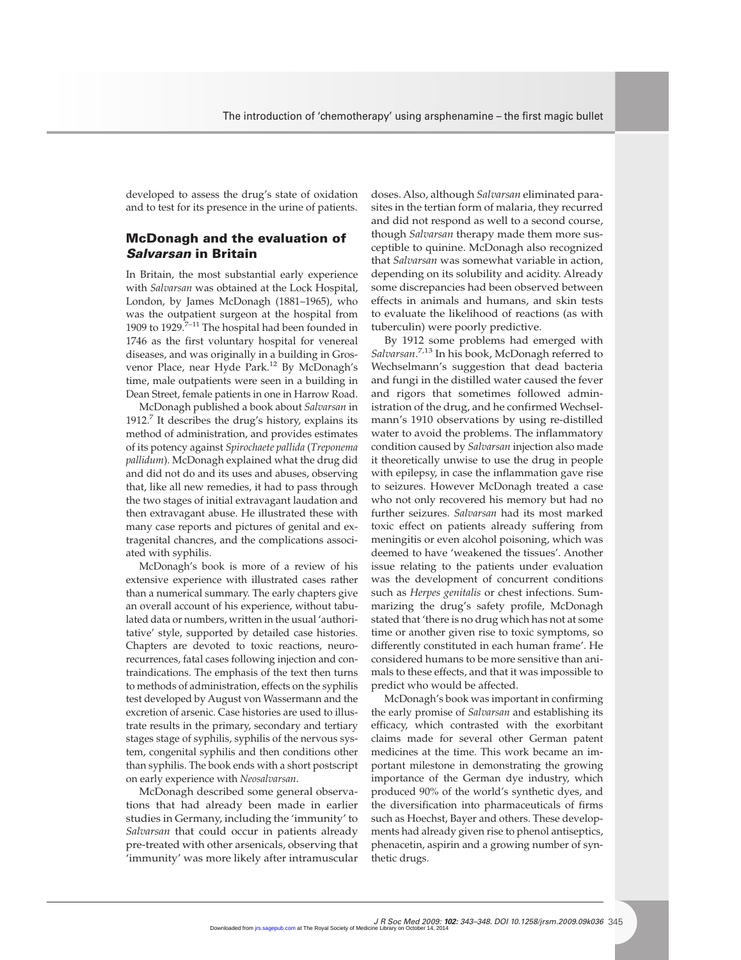developed to assess the drug's state of oxidation and to test for its presence in the urine of patients.

### **McDonagh and the evaluation of** *Salvarsan* **in Britain**

In Britain, the most substantial early experience with *Salvarsan* was obtained at the Lock Hospital, London, by James McDonagh (1881–1965), who was the outpatient surgeon at the hospital from 1909 to 1929. $7-11$  The hospital had been founded in 1746 as the first voluntary hospital for venereal diseases, and was originally in a building in Grosvenor Place, near Hyde Park.<sup>12</sup> By McDonagh's time, male outpatients were seen in a building in Dean Street, female patients in one in Harrow Road.

McDonagh published a book about *Salvarsan* in 1912.<sup>7</sup> It describes the drug's history, explains its method of administration, and provides estimates of its potency against *Spirochaete pallida* (*Treponema pallidum*). McDonagh explained what the drug did and did not do and its uses and abuses, observing that, like all new remedies, it had to pass through the two stages of initial extravagant laudation and then extravagant abuse. He illustrated these with many case reports and pictures of genital and extragenital chancres, and the complications associated with syphilis.

McDonagh's book is more of a review of his extensive experience with illustrated cases rather than a numerical summary. The early chapters give an overall account of his experience, without tabulated data or numbers, written in the usual 'authoritative' style, supported by detailed case histories. Chapters are devoted to toxic reactions, neurorecurrences, fatal cases following injection and contraindications. The emphasis of the text then turns to methods of administration, effects on the syphilis test developed by August von Wassermann and the excretion of arsenic. Case histories are used to illustrate results in the primary, secondary and tertiary stages stage of syphilis, syphilis of the nervous system, congenital syphilis and then conditions other than syphilis. The book ends with a short postscript on early experience with *Neosalvarsan*.

McDonagh described some general observations that had already been made in earlier studies in Germany, including the 'immunity' to *Salvarsan* that could occur in patients already pre-treated with other arsenicals, observing that 'immunity' was more likely after intramuscular doses. Also, although *Salvarsan* eliminated parasites in the tertian form of malaria, they recurred and did not respond as well to a second course, though *Salvarsan* therapy made them more susceptible to quinine. McDonagh also recognized that *Salvarsan* was somewhat variable in action, depending on its solubility and acidity. Already some discrepancies had been observed between effects in animals and humans, and skin tests to evaluate the likelihood of reactions (as with tuberculin) were poorly predictive.

By 1912 some problems had emerged with *Salvarsan*. 7,13 In his book, McDonagh referred to Wechselmann's suggestion that dead bacteria and fungi in the distilled water caused the fever and rigors that sometimes followed administration of the drug, and he confirmed Wechselmann's 1910 observations by using re-distilled water to avoid the problems. The inflammatory condition caused by *Salvarsan* injection also made it theoretically unwise to use the drug in people with epilepsy, in case the inflammation gave rise to seizures. However McDonagh treated a case who not only recovered his memory but had no further seizures. *Salvarsan* had its most marked toxic effect on patients already suffering from meningitis or even alcohol poisoning, which was deemed to have 'weakened the tissues'. Another issue relating to the patients under evaluation was the development of concurrent conditions such as *Herpes genitalis* or chest infections. Summarizing the drug's safety profile, McDonagh stated that 'there is no drug which has not at some time or another given rise to toxic symptoms, so differently constituted in each human frame'. He considered humans to be more sensitive than animals to these effects, and that it was impossible to predict who would be affected.

McDonagh's book was important in confirming the early promise of *Salvarsan* and establishing its efficacy, which contrasted with the exorbitant claims made for several other German patent medicines at the time. This work became an important milestone in demonstrating the growing importance of the German dye industry, which produced 90% of the world's synthetic dyes, and the diversification into pharmaceuticals of firms such as Hoechst, Bayer and others. These developments had already given rise to phenol antiseptics, phenacetin, aspirin and a growing number of synthetic drugs.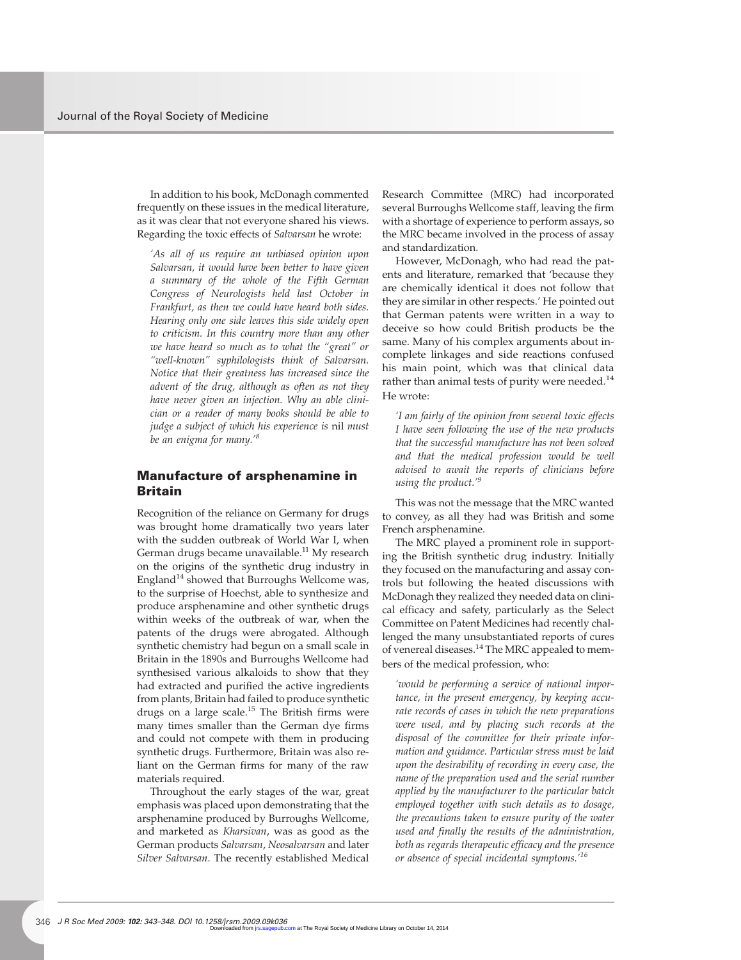In addition to his book, McDonagh commented frequently on these issues in the medical literature, as it was clear that not everyone shared his views. Regarding the toxic effects of *Salvarsan* he wrote:

*'As all of us require an unbiased opinion upon Salvarsan, it would have been better to have given a summary of the whole of the Fifth German Congress of Neurologists held last October in Frankfurt, as then we could have heard both sides. Hearing only one side leaves this side widely open to criticism. In this country more than any other we have heard so much as to what the "great" or "well-known" syphilologists think of Salvarsan. Notice that their greatness has increased since the advent of the drug, although as often as not they have never given an injection. Why an able clinician or a reader of many books should be able to judge a subject of which his experience is* nil *must be an enigma for many.'<sup>8</sup>*

### **Manufacture of arsphenamine in Britain**

Recognition of the reliance on Germany for drugs was brought home dramatically two years later with the sudden outbreak of World War I, when German drugs became unavailable.<sup>11</sup> My research on the origins of the synthetic drug industry in England<sup>14</sup> showed that Burroughs Wellcome was, to the surprise of Hoechst, able to synthesize and produce arsphenamine and other synthetic drugs within weeks of the outbreak of war, when the patents of the drugs were abrogated. Although synthetic chemistry had begun on a small scale in Britain in the 1890s and Burroughs Wellcome had synthesised various alkaloids to show that they had extracted and purified the active ingredients from plants, Britain had failed to produce synthetic drugs on a large scale.<sup>15</sup> The British firms were many times smaller than the German dye firms and could not compete with them in producing synthetic drugs. Furthermore, Britain was also reliant on the German firms for many of the raw materials required.

Throughout the early stages of the war, great emphasis was placed upon demonstrating that the arsphenamine produced by Burroughs Wellcome, and marketed as *Kharsivan*, was as good as the German products *Salvarsan*, *Neosalvarsan* and later *Silver Salvarsan*. The recently established Medical

Research Committee (MRC) had incorporated several Burroughs Wellcome staff, leaving the firm with a shortage of experience to perform assays, so the MRC became involved in the process of assay and standardization.

However, McDonagh, who had read the patents and literature, remarked that 'because they are chemically identical it does not follow that they are similar in other respects.' He pointed out that German patents were written in a way to deceive so how could British products be the same. Many of his complex arguments about incomplete linkages and side reactions confused his main point, which was that clinical data rather than animal tests of purity were needed.<sup>14</sup> He wrote:

*'I am fairly of the opinion from several toxic effects I have seen following the use of the new products that the successful manufacture has not been solved and that the medical profession would be well advised to await the reports of clinicians before using the product.'<sup>9</sup>*

This was not the message that the MRC wanted to convey, as all they had was British and some French arsphenamine.

The MRC played a prominent role in supporting the British synthetic drug industry. Initially they focused on the manufacturing and assay controls but following the heated discussions with McDonagh they realized they needed data on clinical efficacy and safety, particularly as the Select Committee on Patent Medicines had recently challenged the many unsubstantiated reports of cures of venereal diseases.<sup>14</sup> The MRC appealed to members of the medical profession, who:

*'would be performing a service of national importance, in the present emergency, by keeping accurate records of cases in which the new preparations were used, and by placing such records at the disposal of the committee for their private information and guidance. Particular stress must be laid upon the desirability of recording in every case, the name of the preparation used and the serial number applied by the manufacturer to the particular batch employed together with such details as to dosage, the precautions taken to ensure purity of the water used and finally the results of the administration, both as regards therapeutic efficacy and the presence or absence of special incidental symptoms.'<sup>16</sup>*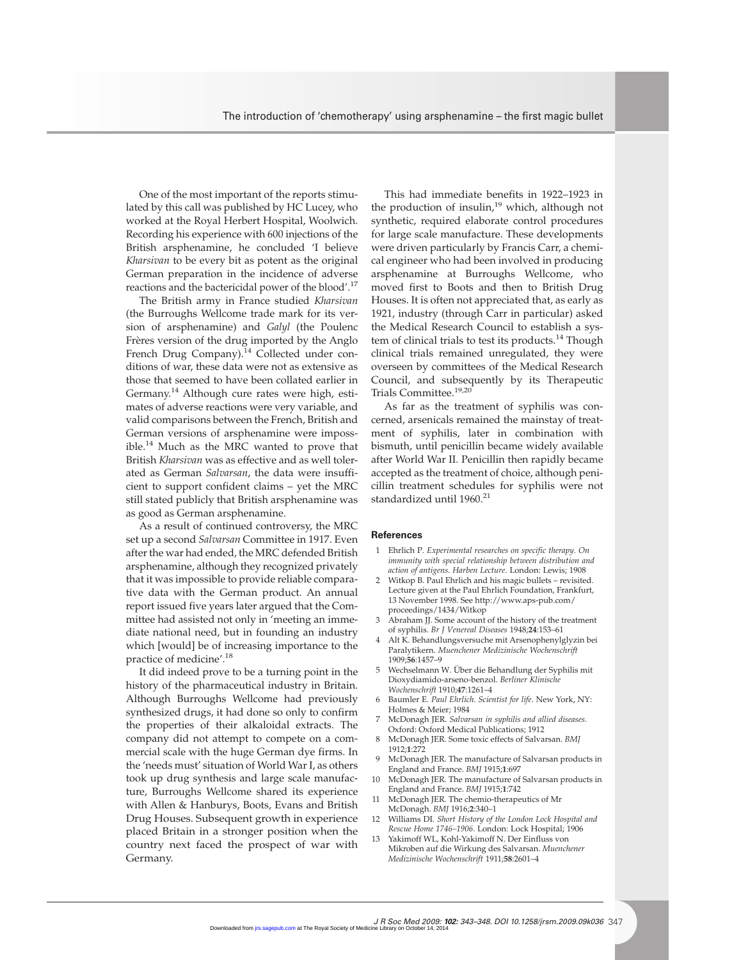One of the most important of the reports stimulated by this call was published by HC Lucey, who worked at the Royal Herbert Hospital, Woolwich. Recording his experience with 600 injections of the British arsphenamine, he concluded 'I believe *Kharsivan* to be every bit as potent as the original German preparation in the incidence of adverse reactions and the bactericidal power of the blood'.<sup>17</sup>

The British army in France studied *Kharsivan* (the Burroughs Wellcome trade mark for its version of arsphenamine) and *Galyl* (the Poulenc Frères version of the drug imported by the Anglo French Drug Company).<sup>14</sup> Collected under conditions of war, these data were not as extensive as those that seemed to have been collated earlier in Germany.<sup>14</sup> Although cure rates were high, estimates of adverse reactions were very variable, and valid comparisons between the French, British and German versions of arsphenamine were impossible.<sup>14</sup> Much as the MRC wanted to prove that British *Kharsivan* was as effective and as well tolerated as German *Salvarsan*, the data were insufficient to support confident claims – yet the MRC still stated publicly that British arsphenamine was as good as German arsphenamine.

As a result of continued controversy, the MRC set up a second *Salvarsan* Committee in 1917. Even after the war had ended, the MRC defended British arsphenamine, although they recognized privately that it was impossible to provide reliable comparative data with the German product. An annual report issued five years later argued that the Committee had assisted not only in 'meeting an immediate national need, but in founding an industry which [would] be of increasing importance to the practice of medicine'.<sup>18</sup>

It did indeed prove to be a turning point in the history of the pharmaceutical industry in Britain. Although Burroughs Wellcome had previously synthesized drugs, it had done so only to confirm the properties of their alkaloidal extracts. The company did not attempt to compete on a commercial scale with the huge German dye firms. In the 'needs must' situation of World War I, as others took up drug synthesis and large scale manufacture, Burroughs Wellcome shared its experience with Allen & Hanburys, Boots, Evans and British Drug Houses. Subsequent growth in experience placed Britain in a stronger position when the country next faced the prospect of war with Germany.

This had immediate benefits in 1922–1923 in the production of insulin, $19$  which, although not synthetic, required elaborate control procedures for large scale manufacture. These developments were driven particularly by Francis Carr, a chemical engineer who had been involved in producing arsphenamine at Burroughs Wellcome, who moved first to Boots and then to British Drug Houses. It is often not appreciated that, as early as 1921, industry (through Carr in particular) asked the Medical Research Council to establish a system of clinical trials to test its products.<sup>14</sup> Though clinical trials remained unregulated, they were overseen by committees of the Medical Research Council, and subsequently by its Therapeutic Trials Committee.19,20

As far as the treatment of syphilis was concerned, arsenicals remained the mainstay of treatment of syphilis, later in combination with bismuth, until penicillin became widely available after World War II. Penicillin then rapidly became accepted as the treatment of choice, although penicillin treatment schedules for syphilis were not standardized until 1960.<sup>21</sup>

#### **References**

- 1 Ehrlich P. *Experimental researches on specific therapy. On immunity with special relationship between distribution and action of antigens. Harben Lecture*. London: Lewis; 1908
- 2 Witkop B. Paul Ehrlich and his magic bullets revisited. Lecture given at the Paul Ehrlich Foundation, Frankfurt, 13 November 1998. See http://www.aps-pub.com/ proceedings/1434/Witkop
- 3 Abraham JJ. Some account of the history of the treatment of syphilis. *Br J Venereal Diseases* 1948;**24**:153–61
- Alt K. Behandlungsversuche mit Arsenophenylglyzin bei Paralytikern. *Muenchener Medizinische Wochenschrift* 1909;**56**:1457–9
- 5 Wechselmann W. Über die Behandlung der Syphilis mit Dioxydiamido-arseno-benzol. *Berliner Klinische Wochenschrift* 1910;**47**:1261–4
- 6 Baumler E. *Paul Ehrlich. Scientist for life*. New York, NY: Holmes & Meier; 1984
- 7 McDonagh JER. *Salvarsan in syphilis and allied diseases*. Oxford: Oxford Medical Publications; 1912
- 8 McDonagh JER. Some toxic effects of Salvarsan. *BMJ* 1912;**1**:272
- 9 McDonagh JER. The manufacture of Salvarsan products in England and France. *BMJ* 1915;**1**:697
- 10 McDonagh JER. The manufacture of Salvarsan products in England and France. *BMJ* 1915;**1**:742
- 11 McDonagh JER. The chemio-therapeutics of Mr McDonagh. *BMJ* 1916;**2**:340–1
- 12 Williams DI. *Short History of the London Lock Hospital and Rescue Home 1746–1906*. London: Lock Hospital; 1906
- 13 Yakimoff WL, Kohl-Yakimoff N. Der Einfluss von Mikroben auf die Wirkung des Salvarsan. *Muenchener Medizinische Wochenschrift* 1911;**58**:2601–4